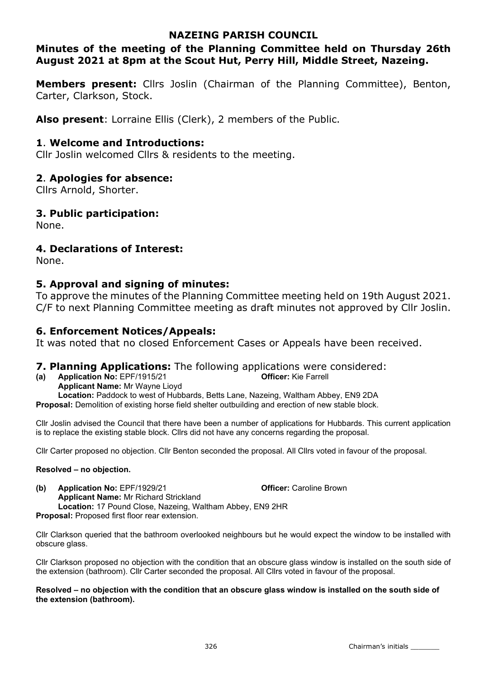## NAZEING PARISH COUNCIL

## Minutes of the meeting of the Planning Committee held on Thursday 26th August 2021 at 8pm at the Scout Hut, Perry Hill, Middle Street, Nazeing.

**Members present:** Cllrs Joslin (Chairman of the Planning Committee), Benton, Carter, Clarkson, Stock.

Also present: Lorraine Ellis (Clerk), 2 members of the Public.

## 1. Welcome and Introductions:

Cllr Joslin welcomed Cllrs & residents to the meeting.

## 2. Apologies for absence:

Cllrs Arnold, Shorter.

## 3. Public participation:

None.

## 4. Declarations of Interest:

None.

## 5. Approval and signing of minutes:

To approve the minutes of the Planning Committee meeting held on 19th August 2021. C/F to next Planning Committee meeting as draft minutes not approved by Cllr Joslin.

## 6. Enforcement Notices/Appeals:

It was noted that no closed Enforcement Cases or Appeals have been received.

## 7. Planning Applications: The following applications were considered:

(a) Application No: EPF/1915/21 Officer: Kie Farrell

Applicant Name: Mr Wayne Lioyd

Location: Paddock to west of Hubbards, Betts Lane, Nazeing, Waltham Abbey, EN9 2DA

Proposal: Demolition of existing horse field shelter outbuilding and erection of new stable block.

Cllr Joslin advised the Council that there have been a number of applications for Hubbards. This current application is to replace the existing stable block. Cllrs did not have any concerns regarding the proposal.

Cllr Carter proposed no objection. Cllr Benton seconded the proposal. All Cllrs voted in favour of the proposal.

### Resolved – no objection.

(b) Application No: EPF/1929/21 Officer: Caroline Brown Applicant Name: Mr Richard Strickland Location: 17 Pound Close, Nazeing, Waltham Abbey, EN9 2HR Proposal: Proposed first floor rear extension.

Cllr Clarkson queried that the bathroom overlooked neighbours but he would expect the window to be installed with obscure glass.

Cllr Clarkson proposed no objection with the condition that an obscure glass window is installed on the south side of the extension (bathroom). Cllr Carter seconded the proposal. All Cllrs voted in favour of the proposal.

#### Resolved – no objection with the condition that an obscure glass window is installed on the south side of the extension (bathroom).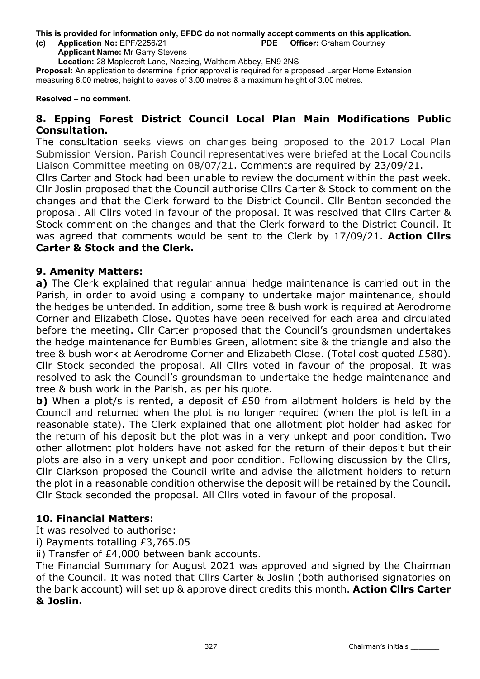This is provided for information only, EFDC do not normally accept comments on this application. (c) Application No: EPF/2256/21 PDE Officer: Graham Courtney

Applicant Name: Mr Garry Stevens

Location: 28 Maplecroft Lane, Nazeing, Waltham Abbey, EN9 2NS

Proposal: An application to determine if prior approval is required for a proposed Larger Home Extension measuring 6.00 metres, height to eaves of 3.00 metres & a maximum height of 3.00 metres.

Resolved – no comment.

## 8. Epping Forest District Council Local Plan Main Modifications Public Consultation.

The consultation seeks views on changes being proposed to the 2017 Local Plan Submission Version. Parish Council representatives were briefed at the Local Councils Liaison Committee meeting on 08/07/21. Comments are required by 23/09/21.

Cllrs Carter and Stock had been unable to review the document within the past week. Cllr Joslin proposed that the Council authorise Cllrs Carter & Stock to comment on the changes and that the Clerk forward to the District Council. Cllr Benton seconded the proposal. All Cllrs voted in favour of the proposal. It was resolved that Cllrs Carter & Stock comment on the changes and that the Clerk forward to the District Council. It was agreed that comments would be sent to the Clerk by 17/09/21. Action Clirs Carter & Stock and the Clerk.

### 9. Amenity Matters:

a) The Clerk explained that regular annual hedge maintenance is carried out in the Parish, in order to avoid using a company to undertake major maintenance, should the hedges be untended. In addition, some tree & bush work is required at Aerodrome Corner and Elizabeth Close. Quotes have been received for each area and circulated before the meeting. Cllr Carter proposed that the Council's groundsman undertakes the hedge maintenance for Bumbles Green, allotment site & the triangle and also the tree & bush work at Aerodrome Corner and Elizabeth Close. (Total cost quoted £580). Cllr Stock seconded the proposal. All Cllrs voted in favour of the proposal. It was resolved to ask the Council's groundsman to undertake the hedge maintenance and tree & bush work in the Parish, as per his quote.

b) When a plot/s is rented, a deposit of £50 from allotment holders is held by the Council and returned when the plot is no longer required (when the plot is left in a reasonable state). The Clerk explained that one allotment plot holder had asked for the return of his deposit but the plot was in a very unkept and poor condition. Two other allotment plot holders have not asked for the return of their deposit but their plots are also in a very unkept and poor condition. Following discussion by the Cllrs, Cllr Clarkson proposed the Council write and advise the allotment holders to return the plot in a reasonable condition otherwise the deposit will be retained by the Council. Cllr Stock seconded the proposal. All Cllrs voted in favour of the proposal.

## 10. Financial Matters:

It was resolved to authorise:

i) Payments totalling £3,765.05

ii) Transfer of £4,000 between bank accounts.

The Financial Summary for August 2021 was approved and signed by the Chairman of the Council. It was noted that Cllrs Carter & Joslin (both authorised signatories on the bank account) will set up & approve direct credits this month. Action Cllrs Carter & Joslin.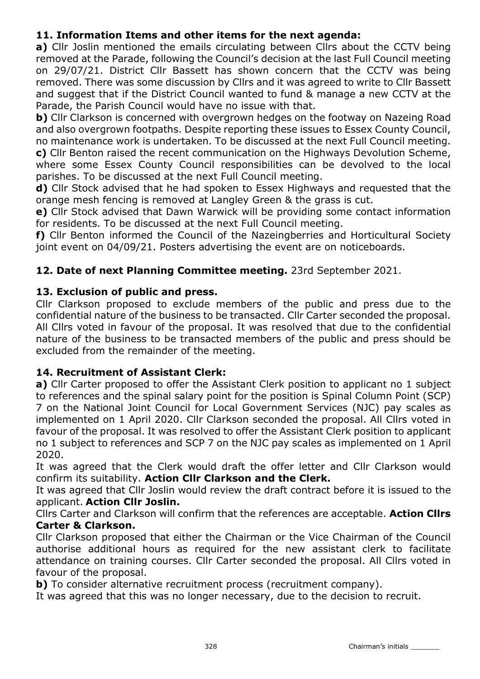# 11. Information Items and other items for the next agenda:

a) Cllr Joslin mentioned the emails circulating between Cllrs about the CCTV being removed at the Parade, following the Council's decision at the last Full Council meeting on 29/07/21. District Cllr Bassett has shown concern that the CCTV was being removed. There was some discussion by Cllrs and it was agreed to write to Cllr Bassett and suggest that if the District Council wanted to fund & manage a new CCTV at the Parade, the Parish Council would have no issue with that.

b) Cllr Clarkson is concerned with overgrown hedges on the footway on Nazeing Road and also overgrown footpaths. Despite reporting these issues to Essex County Council, no maintenance work is undertaken. To be discussed at the next Full Council meeting. c) Cllr Benton raised the recent communication on the Highways Devolution Scheme, where some Essex County Council responsibilities can be devolved to the local parishes. To be discussed at the next Full Council meeting.

d) Cllr Stock advised that he had spoken to Essex Highways and requested that the orange mesh fencing is removed at Langley Green & the grass is cut.

e) Cllr Stock advised that Dawn Warwick will be providing some contact information for residents. To be discussed at the next Full Council meeting.

f) Cllr Benton informed the Council of the Nazeingberries and Horticultural Society joint event on 04/09/21. Posters advertising the event are on noticeboards.

## 12. Date of next Planning Committee meeting. 23rd September 2021.

## 13. Exclusion of public and press.

Cllr Clarkson proposed to exclude members of the public and press due to the confidential nature of the business to be transacted. Cllr Carter seconded the proposal. All Cllrs voted in favour of the proposal. It was resolved that due to the confidential nature of the business to be transacted members of the public and press should be excluded from the remainder of the meeting.

## 14. Recruitment of Assistant Clerk:

a) Cllr Carter proposed to offer the Assistant Clerk position to applicant no 1 subject to references and the spinal salary point for the position is Spinal Column Point (SCP) 7 on the National Joint Council for Local Government Services (NJC) pay scales as implemented on 1 April 2020. Cllr Clarkson seconded the proposal. All Cllrs voted in favour of the proposal. It was resolved to offer the Assistant Clerk position to applicant no 1 subject to references and SCP 7 on the NJC pay scales as implemented on 1 April 2020.

It was agreed that the Clerk would draft the offer letter and Cllr Clarkson would confirm its suitability. Action Cllr Clarkson and the Clerk.

It was agreed that Cllr Joslin would review the draft contract before it is issued to the applicant. Action Cllr Joslin.

Cllrs Carter and Clarkson will confirm that the references are acceptable. Action Cllrs Carter & Clarkson.

Cllr Clarkson proposed that either the Chairman or the Vice Chairman of the Council authorise additional hours as required for the new assistant clerk to facilitate attendance on training courses. Cllr Carter seconded the proposal. All Cllrs voted in favour of the proposal.

b) To consider alternative recruitment process (recruitment company).

It was agreed that this was no longer necessary, due to the decision to recruit.